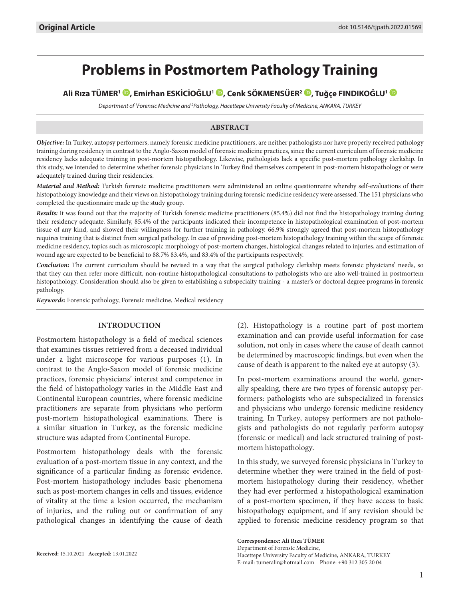# **Problems in Postmortem Pathology Training**

**Ali Rıza TÜMER1 , Emirhan ESKİCİOĞLU1 [,](http://orcid.org/0000-0002-2074-7553) Cenk SÖKMENSÜER2 [,](http://orcid.org/0000-0001-7637-8745) Tuğçe FINDIKOĞLU1**

*Department of 1 Forensic Medicine and 2 Pathology, Hacettepe University Faculty of Medicine, ANKARA, TURKEY*

## **ABSTRACT**

*Objective:* In Turkey, autopsy performers, namely forensic medicine practitioners, are neither pathologists nor have properly received pathology training during residency in contrast to the Anglo-Saxon model of forensic medicine practices, since the current curriculum of forensic medicine residency lacks adequate training in post-mortem histopathology. Likewise, pathologists lack a specific post-mortem pathology clerkship. In this study, we intended to determine whether forensic physicians in Turkey find themselves competent in post-mortem histopathology or were adequately trained during their residencies.

*Material and Method:* Turkish forensic medicine practitioners were administered an online questionnaire whereby self-evaluations of their histopathology knowledge and their views on histopathology training during forensic medicine residency were assessed. The 151 physicians who completed the questionnaire made up the study group.

*Results:* It was found out that the majority of Turkish forensic medicine practitioners (85.4%) did not find the histopathology training during their residency adequate. Similarly, 85.4% of the participants indicated their incompetence in histopathological examination of post-mortem tissue of any kind, and showed their willingness for further training in pathology. 66.9% strongly agreed that post-mortem histopathology requires training that is distinct from surgical pathology. In case of providing post-mortem histopathology training within the scope of forensic medicine residency, topics such as microscopic morphology of post-mortem changes, histological changes related to injuries, and estimation of wound age are expected to be beneficial to 88.7% 83.4%, and 83.4% of the participants respectively.

*Conclusion:* The current curriculum should be revised in a way that the surgical pathology clerkship meets forensic physicians' needs, so that they can then refer more difficult, non-routine histopathological consultations to pathologists who are also well-trained in postmortem histopathology. Consideration should also be given to establishing a subspecialty training - a master's or doctoral degree programs in forensic pathology.

*Keywords:* Forensic pathology, Forensic medicine, Medical residency

## **INTRODUCTION**

Postmortem histopathology is a field of medical sciences that examines tissues retrieved from a deceased individual under a light microscope for various purposes (1). In contrast to the Anglo-Saxon model of forensic medicine practices, forensic physicians' interest and competence in the field of histopathology varies in the Middle East and Continental European countries, where forensic medicine practitioners are separate from physicians who perform post-mortem histopathological examinations. There is a similar situation in Turkey, as the forensic medicine structure was adapted from Continental Europe.

Postmortem histopathology deals with the forensic evaluation of a post-mortem tissue in any context, and the significance of a particular finding as forensic evidence. Post-mortem histopathology includes basic phenomena such as post-mortem changes in cells and tissues, evidence of vitality at the time a lesion occurred, the mechanism of injuries, and the ruling out or confirmation of any pathological changes in identifying the cause of death

**Received:** 15.10.2021 **Accepted:** 13.01.2022

(2). Histopathology is a routine part of post-mortem examination and can provide useful information for case solution, not only in cases where the cause of death cannot be determined by macroscopic findings, but even when the cause of death is apparent to the naked eye at autopsy (3).

In post-mortem examinations around the world, generally speaking, there are two types of forensic autopsy performers: pathologists who are subspecialized in forensics and physicians who undergo forensic medicine residency training. In Turkey, autopsy performers are not pathologists and pathologists do not regularly perform autopsy (forensic or medical) and lack structured training of postmortem histopathology.

In this study, we surveyed forensic physicians in Turkey to determine whether they were trained in the field of postmortem histopathology during their residency, whether they had ever performed a histopathological examination of a post-mortem specimen, if they have access to basic histopathology equipment, and if any revision should be applied to forensic medicine residency program so that

**Correspondence: Ali Rıza TÜMER**  Department of Forensic Medicine, Hacettepe University Faculty of Medicine, ANKARA, TURKEY E-mail: tumeralir@hotmail.com Phone: +90 312 305 20 04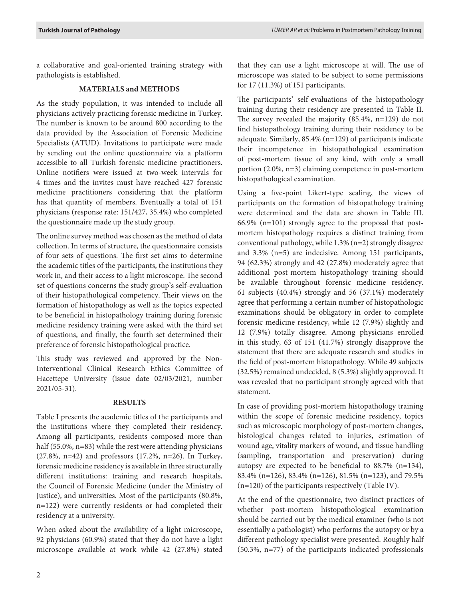a collaborative and goal-oriented training strategy with pathologists is established.

# **MATERIALS and METHODS**

As the study population, it was intended to include all physicians actively practicing forensic medicine in Turkey. The number is known to be around 800 according to the data provided by the Association of Forensic Medicine Specialists (ATUD). Invitations to participate were made by sending out the online questionnaire via a platform accessible to all Turkish forensic medicine practitioners. Online notifiers were issued at two-week intervals for 4 times and the invites must have reached 427 forensic medicine practitioners considering that the platform has that quantity of members. Eventually a total of 151 physicians (response rate: 151/427, 35.4%) who completed the questionnaire made up the study group.

The online survey method was chosen as the method of data collection. In terms of structure, the questionnaire consists of four sets of questions. The first set aims to determine the academic titles of the participants, the institutions they work in, and their access to a light microscope. The second set of questions concerns the study group's self-evaluation of their histopathological competency. Their views on the formation of histopathology as well as the topics expected to be beneficial in histopathology training during forensic medicine residency training were asked with the third set of questions, and finally, the fourth set determined their preference of forensic histopathological practice.

This study was reviewed and approved by the Non-Interventional Clinical Research Ethics Committee of Hacettepe University (issue date 02/03/2021, number 2021/05-31).

## **RESULTS**

Table I presents the academic titles of the participants and the institutions where they completed their residency. Among all participants, residents composed more than half (55.0%, n=83) while the rest were attending physicians (27.8%, n=42) and professors (17.2%, n=26). In Turkey, forensic medicine residency is available in three structurally different institutions: training and research hospitals, the Council of Forensic Medicine (under the Ministry of Justice), and universities. Most of the participants (80.8%, n=122) were currently residents or had completed their residency at a university.

When asked about the availability of a light microscope, 92 physicians (60.9%) stated that they do not have a light microscope available at work while 42 (27.8%) stated

that they can use a light microscope at will. The use of microscope was stated to be subject to some permissions for 17 (11.3%) of 151 participants.

The participants' self-evaluations of the histopathology training during their residency are presented in Table II. The survey revealed the majority (85.4%, n=129) do not find histopathology training during their residency to be adequate. Similarly, 85.4% (n=129) of participants indicate their incompetence in histopathological examination of post-mortem tissue of any kind, with only a small portion (2.0%, n=3) claiming competence in post-mortem histopathological examination.

Using a five-point Likert-type scaling, the views of participants on the formation of histopathology training were determined and the data are shown in Table III. 66.9% (n=101) strongly agree to the proposal that postmortem histopathology requires a distinct training from conventional pathology, while 1.3% (n=2) strongly disagree and 3.3% (n=5) are indecisive. Among 151 participants, 94 (62.3%) strongly and 42 (27.8%) moderately agree that additional post-mortem histopathology training should be available throughout forensic medicine residency. 61 subjects (40.4%) strongly and 56 (37.1%) moderately agree that performing a certain number of histopathologic examinations should be obligatory in order to complete forensic medicine residency, while 12 (7.9%) slightly and 12 (7.9%) totally disagree. Among physicians enrolled in this study, 63 of 151 (41.7%) strongly disapprove the statement that there are adequate research and studies in the field of post-mortem histopathology. While 49 subjects (32.5%) remained undecided, 8 (5.3%) slightly approved. It was revealed that no participant strongly agreed with that statement.

In case of providing post-mortem histopathology training within the scope of forensic medicine residency, topics such as microscopic morphology of post-mortem changes, histological changes related to injuries, estimation of wound age, vitality markers of wound, and tissue handling (sampling, transportation and preservation) during autopsy are expected to be beneficial to 88.7% (n=134), 83.4% (n=126), 83.4% (n=126), 81.5% (n=123), and 79.5% (n=120) of the participants respectively (Table IV).

At the end of the questionnaire, two distinct practices of whether post-mortem histopathological examination should be carried out by the medical examiner (who is not essentially a pathologist) who performs the autopsy or by a different pathology specialist were presented. Roughly half (50.3%, n=77) of the participants indicated professionals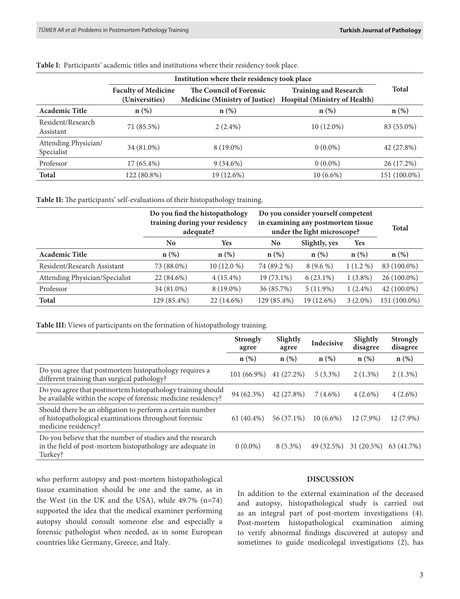|                                    | Institution where their residency took place |                                                                  |                                                               |              |  |
|------------------------------------|----------------------------------------------|------------------------------------------------------------------|---------------------------------------------------------------|--------------|--|
|                                    | <b>Faculty of Medicine</b><br>(Universities) | The Council of Forensic<br><b>Medicine (Ministry of Justice)</b> | <b>Training and Research</b><br>Hospital (Ministry of Health) | <b>Total</b> |  |
| <b>Academic Title</b>              | $n(\%)$                                      | $n(\%)$                                                          | $n(\%)$                                                       | $n$ (%)      |  |
| Resident/Research<br>Assistant     | 71 (85.5%)                                   | $2(2.4\%)$                                                       | $10(12.0\%)$                                                  | 83 (55.0%)   |  |
| Attending Physician/<br>Specialist | 34 (81.0%)                                   | 8 (19.0%)                                                        | $0(0.0\%)$                                                    | 42 (27.8%)   |  |
| Professor                          | 17 (65.4%)                                   | $9(34.6\%)$                                                      | $0(0.0\%)$                                                    | 26 (17.2%)   |  |
| <b>Total</b>                       | 122 (80.8%)                                  | 19 (12.6%)                                                       | $10(6.6\%)$                                                   | 151 (100.0%) |  |

**Table I:** Participants' academic titles and institutions where their residency took place.

**Table II:** The participants' self-evaluations of their histopathology training.

|                                | Do you find the histopathology<br>training during your residency<br>adequate? |              | Do you consider yourself competent<br>in examining any postmortem tissue<br>under the light microscope? | <b>Total</b>  |            |               |
|--------------------------------|-------------------------------------------------------------------------------|--------------|---------------------------------------------------------------------------------------------------------|---------------|------------|---------------|
|                                | No.                                                                           | <b>Yes</b>   | No                                                                                                      | Slightly, yes | <b>Yes</b> |               |
| <b>Academic Title</b>          | n(%)                                                                          | $n$ (%)      | n(%)                                                                                                    | $n(\%)$       | $n(\%)$    | $n$ (%)       |
| Resident/Research Assistant    | 73 (88.0%)                                                                    | $10(12.0\%)$ | 74 (89.2 %)                                                                                             | $8(9.6\%)$    | $1(1.2\%)$ | 83 (100.0%)   |
| Attending Physician/Specialist | 22 (84.6%)                                                                    | $4(15.4\%)$  | 19 (73.1%)                                                                                              | $6(23.1\%)$   | $1(3.8\%)$ | 26 (100.0%)   |
| Professor                      | 34 (81.0%)                                                                    | 8 (19.0%)    | 36 (85.7%)                                                                                              | $5(11.9\%)$   | $1(2.4\%)$ | $42(100.0\%)$ |
| <b>Total</b>                   | 129 (85.4%)                                                                   | 22 (14.6%)   | 129 (85.4%)                                                                                             | 19 (12.6%)    | $3(2.0\%)$ | 151 (100.0%)  |

**Table III:** Views of participants on the formation of histopathology training.

|                                                                                                                                           | <b>Strongly</b><br>agree | Slightly<br>agree | <b>Indecisive</b> | Slightly<br>disagree | <b>Strongly</b><br>disagree |
|-------------------------------------------------------------------------------------------------------------------------------------------|--------------------------|-------------------|-------------------|----------------------|-----------------------------|
|                                                                                                                                           | $n$ (%)                  | $n(\%)$           | $n$ $(\%)$        | $n$ (%)              | $n(\%)$                     |
| Do you agree that postmortem histopathology requires a<br>different training than surgical pathology?                                     | 101 (66.9%)              | 41 (27.2%)        | $5(3.3\%)$        | $2(1.3\%)$           | $2(1.3\%)$                  |
| Do you agree that postmortem histopathology training should<br>be available within the scope of forensic medicine residency?              | 94 (62.3%)               | 42 (27.8%)        | $7(4.6\%)$        | $4(2.6\%)$           | $4(2.6\%)$                  |
| Should there be an obligation to perform a certain number<br>of histopathological examinations throughout forensic<br>medicine residency? | $61(40.4\%)$             | 56 (37.1%)        | $10(6.6\%)$       | 12 (7.9%)            | 12 (7.9%)                   |
| Do you believe that the number of studies and the research<br>in the field of post-mortem histopathology are adequate in<br>Turkey?       | $0(0.0\%)$               | $8(5.3\%)$        | 49 (32.5%)        | $31(20.5\%)$         | 63 (41.7%)                  |

who perform autopsy and post-mortem histopathological tissue examination should be one and the same, as in the West (in the UK and the USA), while 49.7% (n=74) supported the idea that the medical examiner performing autopsy should consult someone else and especially a forensic pathologist when needed, as in some European countries like Germany, Greece, and Italy.

## **DISCUSSION**

In addition to the external examination of the deceased and autopsy, histopathological study is carried out as an integral part of post-mortem investigations (4). Post-mortem histopathological examination aiming to verify abnormal findings discovered at autopsy and sometimes to guide medicolegal investigations (2), has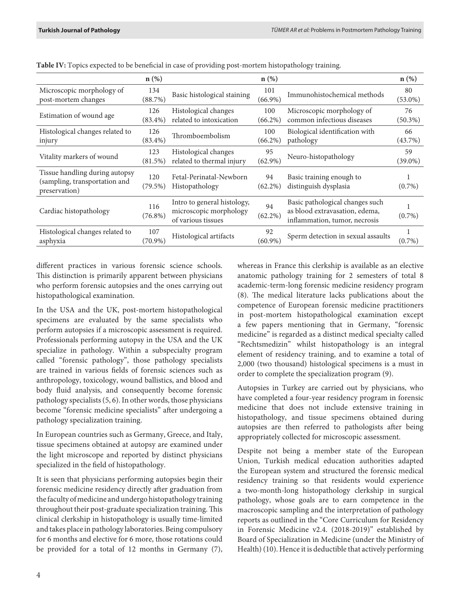|                                                                                  | $n$ (%)           |                                                                             | $n$ (%)           |                                                                                                    | $n$ (%)          |
|----------------------------------------------------------------------------------|-------------------|-----------------------------------------------------------------------------|-------------------|----------------------------------------------------------------------------------------------------|------------------|
| Microscopic morphology of<br>post-mortem changes                                 | 134<br>(88.7%)    | Basic histological staining                                                 | 101<br>$(66.9\%)$ | Immunohistochemical methods                                                                        | 80<br>$(53.0\%)$ |
| Estimation of wound age                                                          | 126<br>$(83.4\%)$ | Histological changes<br>related to intoxication                             | 100<br>$(66.2\%)$ | Microscopic morphology of<br>common infectious diseases                                            | 76<br>$(50.3\%)$ |
| Histological changes related to<br>injury                                        | 126<br>$(83.4\%)$ | Thromboembolism                                                             | 100<br>$(66.2\%)$ | Biological identification with<br>pathology                                                        | 66<br>(43.7%)    |
| Vitality markers of wound                                                        | 123<br>(81.5%)    | Histological changes<br>related to thermal injury                           | 95<br>$(62.9\%)$  | Neuro-histopathology                                                                               | 59<br>$(39.0\%)$ |
| Tissue handling during autopsy<br>(sampling, transportation and<br>preservation) | 120<br>(79.5%)    | Fetal-Perinatal-Newborn<br>Histopathology                                   | 94<br>$(62.2\%)$  | Basic training enough to<br>distinguish dysplasia                                                  | $(0.7\%)$        |
| Cardiac histopathology                                                           | 116<br>$(76.8\%)$ | Intro to general histology,<br>microscopic morphology<br>of various tissues | 94<br>$(62.2\%)$  | Basic pathological changes such<br>as blood extravasation, edema,<br>inflammation, tumor, necrosis | 1<br>$(0.7\%)$   |
| Histological changes related to<br>asphyxia                                      | 107<br>(70.9%)    | Histological artifacts                                                      | 92<br>$(60.9\%)$  | Sperm detection in sexual assaults                                                                 | $(0.7\%)$        |

**Table IV:** Topics expected to be beneficial in case of providing post-mortem histopathology training.

different practices in various forensic science schools. This distinction is primarily apparent between physicians who perform forensic autopsies and the ones carrying out histopathological examination.

In the USA and the UK, post-mortem histopathological specimens are evaluated by the same specialists who perform autopsies if a microscopic assessment is required. Professionals performing autopsy in the USA and the UK specialize in pathology. Within a subspecialty program called "forensic pathology", those pathology specialists are trained in various fields of forensic sciences such as anthropology, toxicology, wound ballistics, and blood and body fluid analysis, and consequently become forensic pathology specialists (5, 6). In other words, those physicians become "forensic medicine specialists" after undergoing a pathology specialization training.

In European countries such as Germany, Greece, and Italy, tissue specimens obtained at autopsy are examined under the light microscope and reported by distinct physicians specialized in the field of histopathology.

It is seen that physicians performing autopsies begin their forensic medicine residency directly after graduation from the faculty of medicine and undergo histopathology training throughout their post-graduate specialization training. This clinical clerkship in histopathology is usually time-limited and takes place in pathology laboratories. Being compulsory for 6 months and elective for 6 more, those rotations could be provided for a total of 12 months in Germany (7), whereas in France this clerkship is available as an elective anatomic pathology training for 2 semesters of total 8 academic-term-long forensic medicine residency program (8). The medical literature lacks publications about the competence of European forensic medicine practitioners in post-mortem histopathological examination except a few papers mentioning that in Germany, "forensic medicine" is regarded as a distinct medical specialty called "Rechtsmedizin" whilst histopathology is an integral element of residency training, and to examine a total of 2,000 (two thousand) histological specimens is a must in order to complete the specialization program (9).

Autopsies in Turkey are carried out by physicians, who have completed a four-year residency program in forensic medicine that does not include extensive training in histopathology, and tissue specimens obtained during autopsies are then referred to pathologists after being appropriately collected for microscopic assessment.

Despite not being a member state of the European Union, Turkish medical education authorities adapted the European system and structured the forensic medical residency training so that residents would experience a two-month-long histopathology clerkship in surgical pathology, whose goals are to earn competence in the macroscopic sampling and the interpretation of pathology reports as outlined in the "Core Curriculum for Residency in Forensic Medicine v2.4. (2018-2019)" established by Board of Specialization in Medicine (under the Ministry of Health) (10). Hence it is deductible that actively performing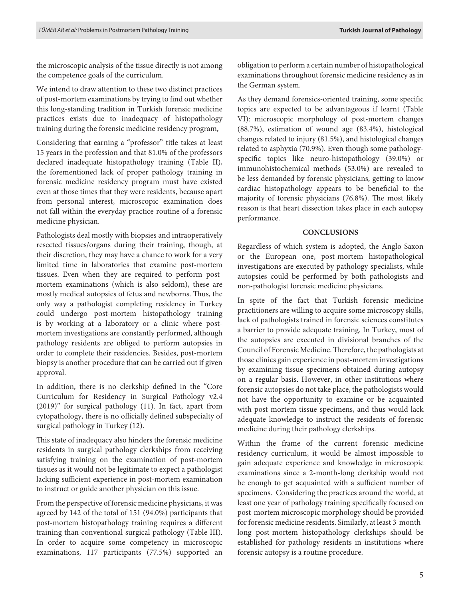the microscopic analysis of the tissue directly is not among the competence goals of the curriculum.

We intend to draw attention to these two distinct practices of post-mortem examinations by trying to find out whether this long-standing tradition in Turkish forensic medicine practices exists due to inadequacy of histopathology training during the forensic medicine residency program,

Considering that earning a "professor" title takes at least 15 years in the profession and that 81.0% of the professors declared inadequate histopathology training (Table II), the forementioned lack of proper pathology training in forensic medicine residency program must have existed even at those times that they were residents, because apart from personal interest, microscopic examination does not fall within the everyday practice routine of a forensic medicine physician.

Pathologists deal mostly with biopsies and intraoperatively resected tissues/organs during their training, though, at their discretion, they may have a chance to work for a very limited time in laboratories that examine post-mortem tissues. Even when they are required to perform postmortem examinations (which is also seldom), these are mostly medical autopsies of fetus and newborns. Thus, the only way a pathologist completing residency in Turkey could undergo post-mortem histopathology training is by working at a laboratory or a clinic where postmortem investigations are constantly performed, although pathology residents are obliged to perform autopsies in order to complete their residencies. Besides, post-mortem biopsy is another procedure that can be carried out if given approval.

In addition, there is no clerkship defined in the "Core Curriculum for Residency in Surgical Pathology v2.4 (2019)" for surgical pathology (11). In fact, apart from cytopathology, there is no officially defined subspecialty of surgical pathology in Turkey (12).

This state of inadequacy also hinders the forensic medicine residents in surgical pathology clerkships from receiving satisfying training on the examination of post-mortem tissues as it would not be legitimate to expect a pathologist lacking sufficient experience in post-mortem examination to instruct or guide another physician on this issue.

From the perspective of forensic medicine physicians, it was agreed by 142 of the total of 151 (94.0%) participants that post-mortem histopathology training requires a different training than conventional surgical pathology (Table III). In order to acquire some competency in microscopic examinations, 117 participants (77.5%) supported an

obligation to perform a certain number of histopathological examinations throughout forensic medicine residency as in the German system.

As they demand forensics-oriented training, some specific topics are expected to be advantageous if learnt (Table VI): microscopic morphology of post-mortem changes (88.7%), estimation of wound age (83.4%), histological changes related to injury (81.5%), and histological changes related to asphyxia (70.9%). Even though some pathologyspecific topics like neuro-histopathology (39.0%) or immunohistochemical methods (53.0%) are revealed to be less demanded by forensic physicians, getting to know cardiac histopathology appears to be beneficial to the majority of forensic physicians (76.8%). The most likely reason is that heart dissection takes place in each autopsy performance.

#### **CONCLUSIONS**

Regardless of which system is adopted, the Anglo-Saxon or the European one, post-mortem histopathological investigations are executed by pathology specialists, while autopsies could be performed by both pathologists and non-pathologist forensic medicine physicians.

In spite of the fact that Turkish forensic medicine practitioners are willing to acquire some microscopy skills, lack of pathologists trained in forensic sciences constitutes a barrier to provide adequate training. In Turkey, most of the autopsies are executed in divisional branches of the Council of Forensic Medicine. Therefore, the pathologists at those clinics gain experience in post-mortem investigations by examining tissue specimens obtained during autopsy on a regular basis. However, in other institutions where forensic autopsies do not take place, the pathologists would not have the opportunity to examine or be acquainted with post-mortem tissue specimens, and thus would lack adequate knowledge to instruct the residents of forensic medicine during their pathology clerkships.

Within the frame of the current forensic medicine residency curriculum, it would be almost impossible to gain adequate experience and knowledge in microscopic examinations since a 2-month-long clerkship would not be enough to get acquainted with a sufficient number of specimens. Considering the practices around the world, at least one year of pathology training specifically focused on post-mortem microscopic morphology should be provided for forensic medicine residents. Similarly, at least 3-monthlong post-mortem histopathology clerkships should be established for pathology residents in institutions where forensic autopsy is a routine procedure.